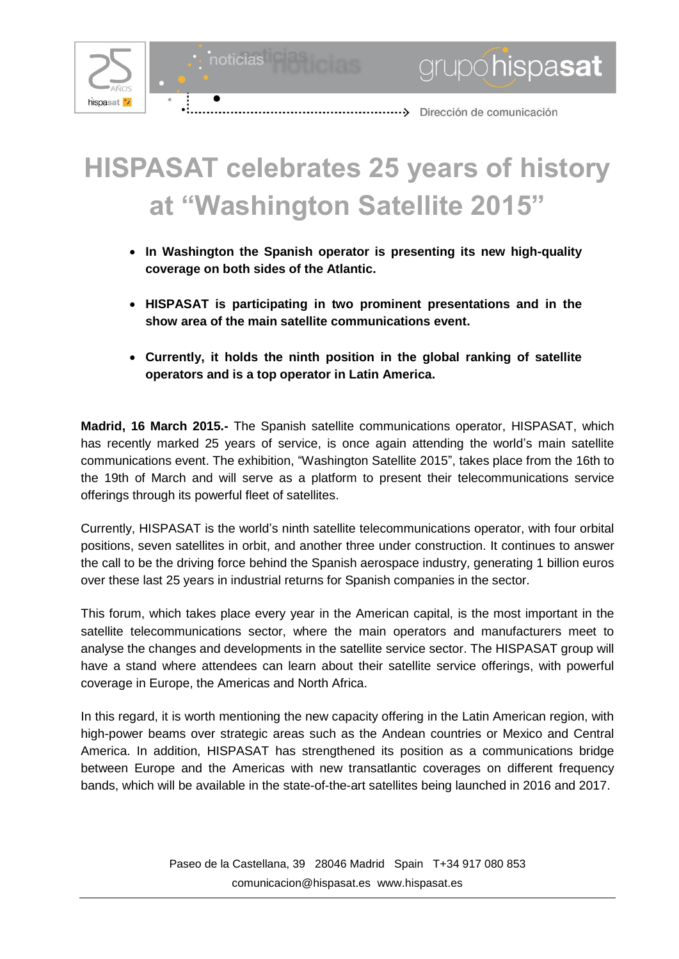

noticias



## **HISPASAT celebrates 25 years of history at "Washington Satellite 2015"**

- **In Washington the Spanish operator is presenting its new high-quality coverage on both sides of the Atlantic.**
- **HISPASAT is participating in two prominent presentations and in the show area of the main satellite communications event.**
- **Currently, it holds the ninth position in the global ranking of satellite operators and is a top operator in Latin America.**

**Madrid, 16 March 2015.-** The Spanish satellite communications operator, HISPASAT, which has recently marked 25 years of service, is once again attending the world's main satellite communications event. The exhibition, "Washington Satellite 2015", takes place from the 16th to the 19th of March and will serve as a platform to present their telecommunications service offerings through its powerful fleet of satellites.

Currently, HISPASAT is the world's ninth satellite telecommunications operator, with four orbital positions, seven satellites in orbit, and another three under construction. It continues to answer the call to be the driving force behind the Spanish aerospace industry, generating 1 billion euros over these last 25 years in industrial returns for Spanish companies in the sector.

This forum, which takes place every year in the American capital, is the most important in the satellite telecommunications sector, where the main operators and manufacturers meet to analyse the changes and developments in the satellite service sector. The HISPASAT group will have a stand where attendees can learn about their satellite service offerings, with powerful coverage in Europe, the Americas and North Africa.

In this regard, it is worth mentioning the new capacity offering in the Latin American region, with high-power beams over strategic areas such as the Andean countries or Mexico and Central America. In addition, HISPASAT has strengthened its position as a communications bridge between Europe and the Americas with new transatlantic coverages on different frequency bands, which will be available in the state-of-the-art satellites being launched in 2016 and 2017.